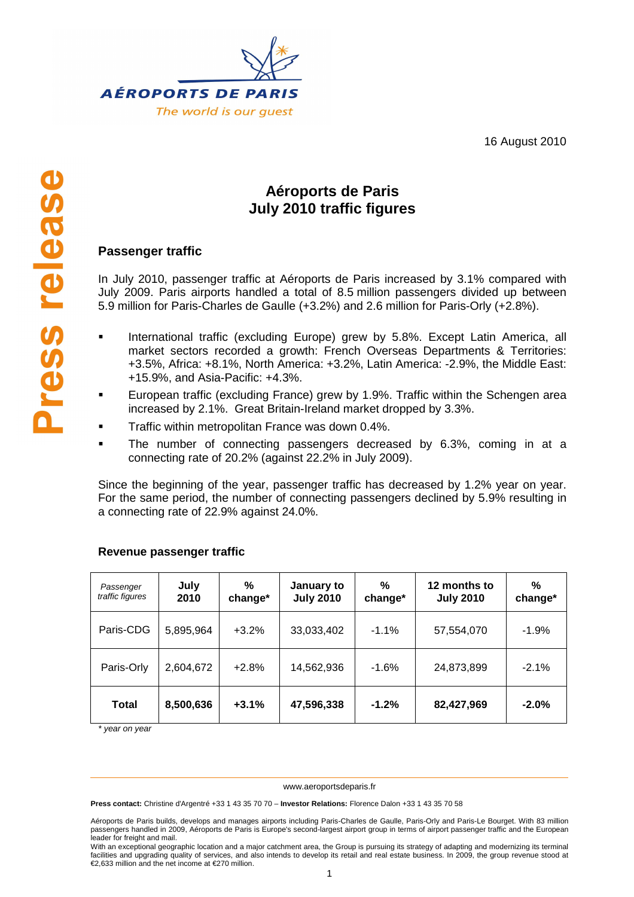



# **Aéroports de Paris July 2010 traffic figures**

# **Passenger traffic**

In July 2010, passenger traffic at Aéroports de Paris increased by 3.1% compared with July 2009. Paris airports handled a total of 8.5 million passengers divided up between 5.9 million for Paris-Charles de Gaulle (+3.2%) and 2.6 million for Paris-Orly (+2.8%).

- **International traffic (excluding Europe) grew by 5.8%. Except Latin America, all** market sectors recorded a growth: French Overseas Departments & Territories: +3.5%, Africa: +8.1%, North America: +3.2%, Latin America: -2.9%, the Middle East: +15.9%, and Asia-Pacific: +4.3%.
- European traffic (excluding France) grew by 1.9%. Traffic within the Schengen area increased by 2.1%. Great Britain-Ireland market dropped by 3.3%.
- Traffic within metropolitan France was down 0.4%.
- The number of connecting passengers decreased by 6.3%, coming in at a connecting rate of 20.2% (against 22.2% in July 2009).

Since the beginning of the year, passenger traffic has decreased by 1.2% year on year. For the same period, the number of connecting passengers declined by 5.9% resulting in a connecting rate of 22.9% against 24.0%.

| Passenger<br>traffic figures | July<br>2010 | %<br>change* | January to<br><b>July 2010</b> | %<br>change* | 12 months to<br><b>July 2010</b> | %<br>change* |
|------------------------------|--------------|--------------|--------------------------------|--------------|----------------------------------|--------------|
| Paris-CDG                    | 5,895,964    | $+3.2%$      | 33,033,402                     | $-1.1\%$     | 57,554,070                       | $-1.9%$      |
| Paris-Orly                   | 2,604,672    | $+2.8%$      | 14,562,936                     | $-1.6%$      | 24,873,899                       | $-2.1%$      |
| <b>Total</b>                 | 8,500,636    | $+3.1%$      | 47,596,338                     | $-1.2%$      | 82,427,969                       | $-2.0%$      |

## **Revenue passenger traffic**

\* year on year

#### www.aeroportsdeparis.fr

**Press contact:** Christine d'Argentré +33 1 43 35 70 70 – **Investor Relations:** Florence Dalon +33 1 43 35 70 58

With an exceptional geographic location and a major catchment area, the Group is pursuing its strategy of adapting and modernizing its terminal facilities and upgrading quality of services, and also intends to develop its retail and real estate business. In 2009, the group revenue stood at €2,633 million and the net income at €270 million.

Aéroports de Paris builds, develops and manages airports including Paris-Charles de Gaulle, Paris-Orly and Paris-Le Bourget. With 83 million passengers handled in 2009, Aéroports de Paris is Europe's second-largest airport group in terms of airport passenger traffic and the European leader for freight and mail.